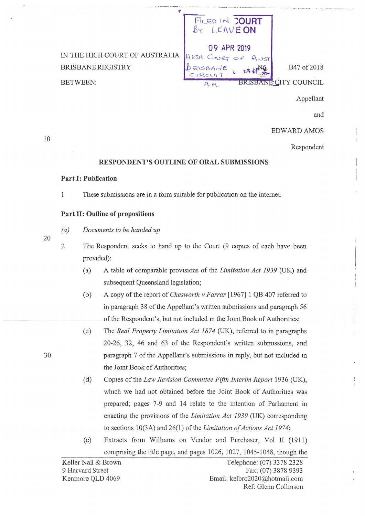|                                                                               | FILED IN COURT<br>BY LEAVEON        |                                             |
|-------------------------------------------------------------------------------|-------------------------------------|---------------------------------------------|
| IN THE HIGH COURT OF AUSTRALIA<br><b>BRISBANE REGISTRY</b><br><b>BETWEEN:</b> | 09 APR 2019<br>Gver<br>HIGH<br>A.M. | B47 of 2018<br><b>BRISBANE CITY COUNCIL</b> |
|                                                                               |                                     | Appellant                                   |

and

EDWARD AMOS

Respondent

## **RESPONDENT'S OUTLINE OF ORAL SUBMISSIONS**

## **Part I: Publication**

1 These submissions are in a form suitable for publication on the internet.

## **Part II: Outline of propositions**

*(a) Documents to be handed up* 

20

10

2 The Respondent seeks to hand up to the Court (9 copies of each have been provided):

- (a) A table of comparable prov1s10ns of the *Limitation Act 1939* (UK) and subsequent Queensland legislation;
- (b) A copy of the report of *Chesworth v Farrar* [1967] 1 QB 407 referred to in paragraph 38 of the Appellant's written submissions and paragraph 56 of the Respondent's, but not included in the Joint Book of Authorities;
- (c) The *Real Property Limitation Act 1874* (UK), referred to in paragraphs 20-26, 32, 46 and 63 of the Respondent's written subnnssions, and paragraph 7 of the Appellant's submissions in reply, but not mcluded m the Jomt Book of Authorities;
- (d) Copies of the *Law Revision Committee Fifth Interim Report* 1936 (UK), which we had not obtained before the Joint Book of Authorities was prepared; pages 7-9 and 14 relate to the intention of Parliament in enacting the provisions of the *Limitation Act 1939* (UK) corresponding to sections 10(3A) and 26(1) of the *Limitation of Actions Act 1974;*
- (e) Extracts from Williams on Vendor and Purchaser, Vol II (1911) compnsing the title page, and pages 1026, 1027, 1045-1048, though the

30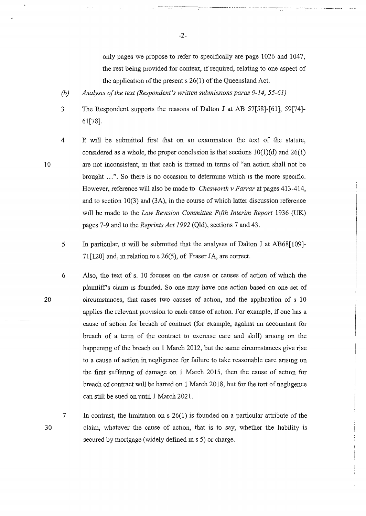only pages we propose to refer to specifically are page 1026 and 1047, the rest being provided for context, if required, relating to one aspect of the application of the present s 26(1) of the Queensland Act.

----------·····----· .... ··-- --------- -----------

- *(b) Analysis of the text (Respondent's written submissions paras 9-14, 55-61)*
- 3 The Respondent supports the reasons of Dalton J at AB 57[58]-[61], 59[74]- 61[78].
- 4 It will be submitted first that on an exammation the text of the statute, considered as a whole, the proper conclusion is that sections  $10(1)(d)$  and  $26(1)$ are not inconsistent, m that each is framed m terms of "an action shall not be brought ...". So there is no occasion to determine which is the more specific. However, reference will also be made to *Chesworth v Farrar* at pages 413-414, and to section 10(3) and (3A), in the course of which latter discussion reference will be made to the *Law Revzsion Committee Fifth Interim Report* 1936 (UK) pages 7-9 and to the *Reprints Act 1992* (Qld), sections 7 and 43.
- 5 In particular, it will be submitted that the analyses of Dalton J at AB68[109]-  $71$ [120] and, in relation to s 26(5), of Fraser JA, are correct.
- 20 6 Also, the text of s. 10 focuses on the cause or causes of action of which the plamtiffs claim is founded. So one may have one action based on one set of circumstances, that raises two causes of action, and the application of  $s$  10 applies the relevant provision to each cause of action. For example, if one has a cause of action for breach of contract (for example, against an accountant for breach of a term of the contract to exercise care and skill) ansmg on the happemng of the breach on 1 March 2012, but the same circumstances give rise to a cause of action in negligence for failure to take reasonable care ansmg on the first suffermg of damage on 1 March 2015, then the cause of action for breach of contract will be barred on 1 March 2018, but for the tort of neghgence can still be sued on until 1 March 2021.
- 30

7

10

In contrast, the limitation on  $s \; 26(1)$  is founded on a particular attribute of the claim, whatever the cause of action, that is to say, whether the liability is secured by mortgage (widely defined ms 5) or charge.

-2-